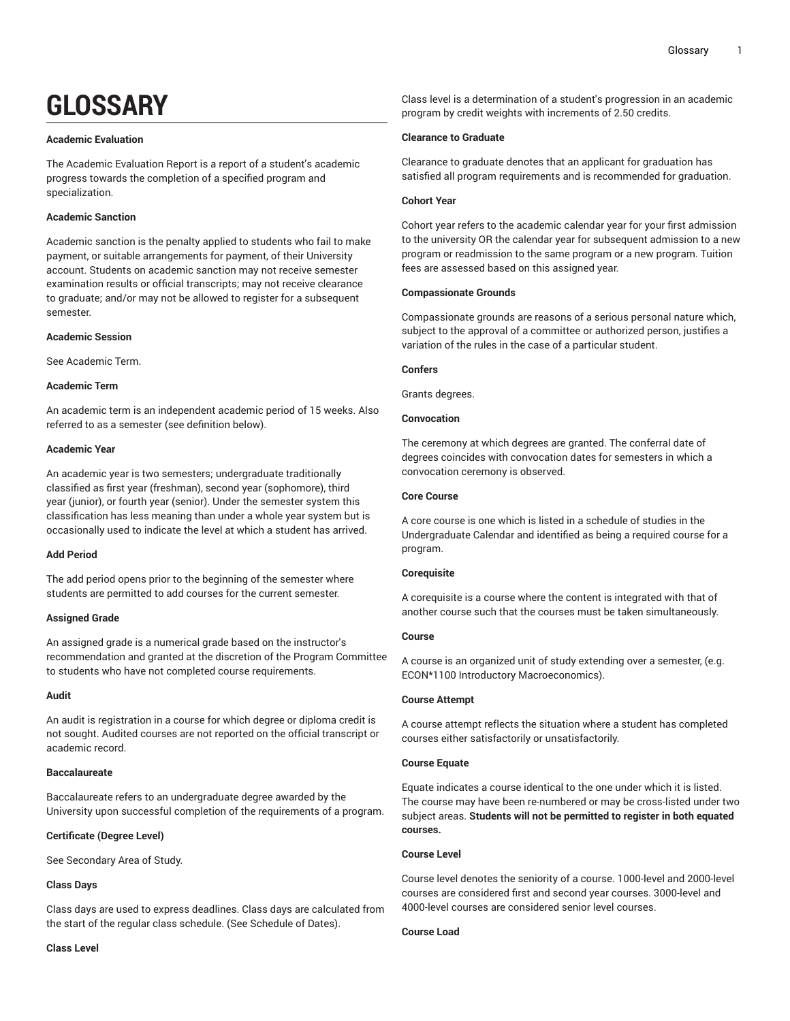# **GLOSSARY**

#### **Academic Evaluation**

The Academic Evaluation Report is a report of a student's academic progress towards the completion of a specified program and specialization.

# **Academic Sanction**

Academic sanction is the penalty applied to students who fail to make payment, or suitable arrangements for payment, of their University account. Students on academic sanction may not receive semester examination results or official transcripts; may not receive clearance to graduate; and/or may not be allowed to register for a subsequent semester.

## **Academic Session**

See Academic Term.

# **Academic Term**

An academic term is an independent academic period of 15 weeks. Also referred to as a semester (see definition below).

#### **Academic Year**

An academic year is two semesters; undergraduate traditionally classified as first year (freshman), second year (sophomore), third year (junior), or fourth year (senior). Under the semester system this classification has less meaning than under a whole year system but is occasionally used to indicate the level at which a student has arrived.

# **Add Period**

The add period opens prior to the beginning of the semester where students are permitted to add courses for the current semester.

## **Assigned Grade**

An assigned grade is a numerical grade based on the instructor's recommendation and granted at the discretion of the Program Committee to students who have not completed course requirements.

#### **Audit**

An audit is registration in a course for which degree or diploma credit is not sought. Audited courses are not reported on the official transcript or academic record.

## **Baccalaureate**

Baccalaureate refers to an undergraduate degree awarded by the University upon successful completion of the requirements of a program.

## **Certificate (Degree Level)**

See Secondary Area of Study.

## **Class Days**

**Class Level**

Class days are used to express deadlines. Class days are calculated from the start of the regular class schedule. (See Schedule of Dates).

Class level is a determination of a student's progression in an academic program by credit weights with increments of 2.50 credits.

#### **Clearance to Graduate**

Clearance to graduate denotes that an applicant for graduation has satisfied all program requirements and is recommended for graduation.

## **Cohort Year**

Cohort year refers to the academic calendar year for your first admission to the university OR the calendar year for subsequent admission to a new program or readmission to the same program or a new program. Tuition fees are assessed based on this assigned year.

#### **Compassionate Grounds**

Compassionate grounds are reasons of a serious personal nature which, subject to the approval of a committee or authorized person, justifies a variation of the rules in the case of a particular student.

#### **Confers**

Grants degrees.

## **Convocation**

The ceremony at which degrees are granted. The conferral date of degrees coincides with convocation dates for semesters in which a convocation ceremony is observed.

#### **Core Course**

A core course is one which is listed in a schedule of studies in the Undergraduate Calendar and identified as being a required course for a program.

## **Corequisite**

A corequisite is a course where the content is integrated with that of another course such that the courses must be taken simultaneously.

## **Course**

A course is an organized unit of study extending over a semester, (e.g. ECON\*1100 Introductory Macroeconomics).

## **Course Attempt**

A course attempt reflects the situation where a student has completed courses either satisfactorily or unsatisfactorily.

# **Course Equate**

Equate indicates a course identical to the one under which it is listed. The course may have been re-numbered or may be cross-listed under two subject areas. **Students will not be permitted to register in both equated courses.**

## **Course Level**

Course level denotes the seniority of a course. 1000-level and 2000-level courses are considered first and second year courses. 3000-level and 4000-level courses are considered senior level courses.

#### **Course Load**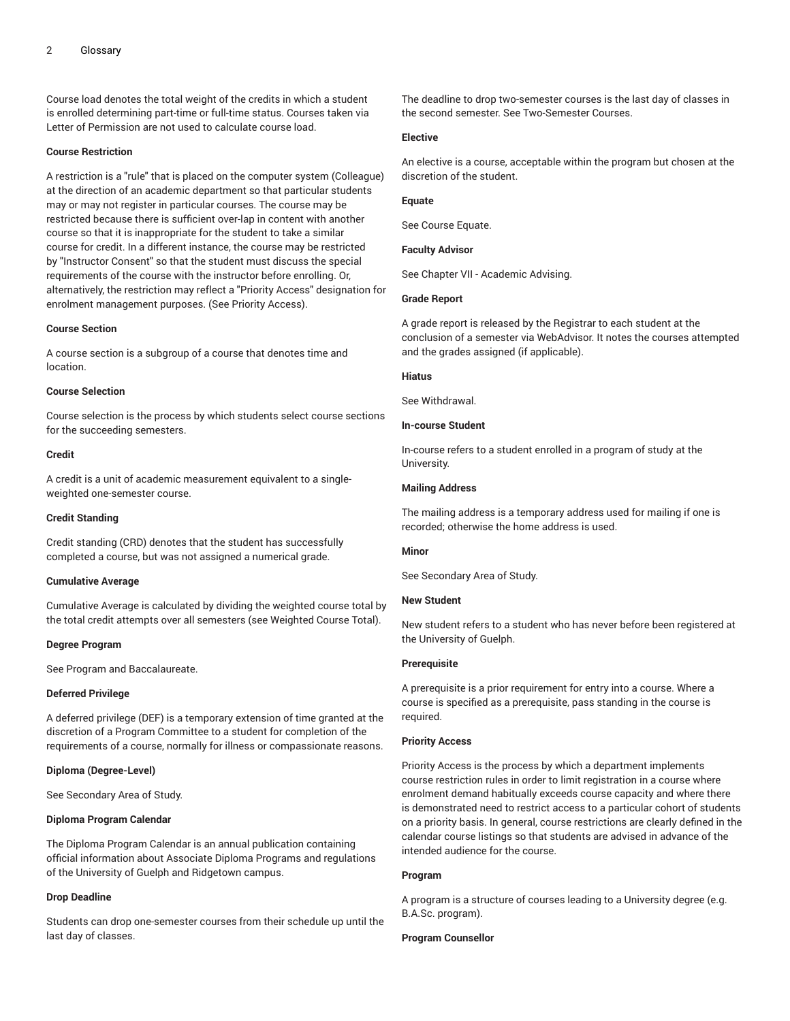Course load denotes the total weight of the credits in which a student is enrolled determining part-time or full-time status. Courses taken via Letter of Permission are not used to calculate course load.

## **Course Restriction**

A restriction is a "rule" that is placed on the computer system (Colleague) at the direction of an academic department so that particular students may or may not register in particular courses. The course may be restricted because there is sufficient over-lap in content with another course so that it is inappropriate for the student to take a similar course for credit. In a different instance, the course may be restricted by "Instructor Consent" so that the student must discuss the special requirements of the course with the instructor before enrolling. Or, alternatively, the restriction may reflect a "Priority Access" designation for enrolment management purposes. (See Priority Access).

#### **Course Section**

A course section is a subgroup of a course that denotes time and location.

## **Course Selection**

Course selection is the process by which students select course sections for the succeeding semesters.

#### **Credit**

A credit is a unit of academic measurement equivalent to a singleweighted one-semester course.

#### **Credit Standing**

Credit standing (CRD) denotes that the student has successfully completed a course, but was not assigned a numerical grade.

#### **Cumulative Average**

Cumulative Average is calculated by dividing the weighted course total by the total credit attempts over all semesters (see Weighted Course Total).

#### **Degree Program**

See Program and Baccalaureate.

#### **Deferred Privilege**

A deferred privilege (DEF) is a temporary extension of time granted at the discretion of a Program Committee to a student for completion of the requirements of a course, normally for illness or compassionate reasons.

#### **Diploma (Degree-Level)**

See Secondary Area of Study.

#### **Diploma Program Calendar**

The Diploma Program Calendar is an annual publication containing official information about Associate Diploma Programs and regulations of the University of Guelph and Ridgetown campus.

#### **Drop Deadline**

Students can drop one-semester courses from their schedule up until the last day of classes.

The deadline to drop two-semester courses is the last day of classes in the second semester. See Two-Semester Courses.

#### **Elective**

An elective is a course, acceptable within the program but chosen at the discretion of the student.

## **Equate**

See Course Equate.

## **Faculty Advisor**

See Chapter VII - Academic Advising.

#### **Grade Report**

A grade report is released by the Registrar to each student at the conclusion of a semester via WebAdvisor. It notes the courses attempted and the grades assigned (if applicable).

#### **Hiatus**

See Withdrawal.

# **In-course Student**

In-course refers to a student enrolled in a program of study at the University.

#### **Mailing Address**

The mailing address is a temporary address used for mailing if one is recorded; otherwise the home address is used.

## **Minor**

See Secondary Area of Study.

#### **New Student**

New student refers to a student who has never before been registered at the University of Guelph.

#### **Prerequisite**

A prerequisite is a prior requirement for entry into a course. Where a course is specified as a prerequisite, pass standing in the course is required.

#### **Priority Access**

Priority Access is the process by which a department implements course restriction rules in order to limit registration in a course where enrolment demand habitually exceeds course capacity and where there is demonstrated need to restrict access to a particular cohort of students on a priority basis. In general, course restrictions are clearly defined in the calendar course listings so that students are advised in advance of the intended audience for the course.

#### **Program**

A program is a structure of courses leading to a University degree (e.g. B.A.Sc. program).

#### **Program Counsellor**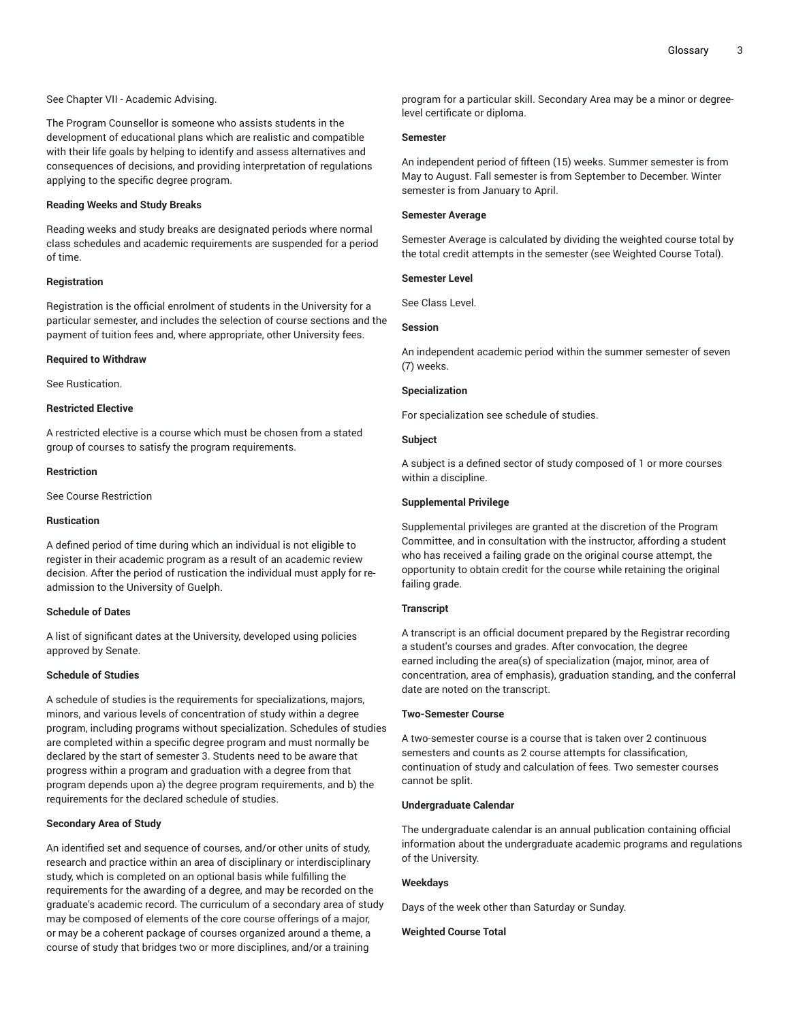See Chapter VII - Academic Advising.

The Program Counsellor is someone who assists students in the development of educational plans which are realistic and compatible with their life goals by helping to identify and assess alternatives and consequences of decisions, and providing interpretation of regulations applying to the specific degree program.

# **Reading Weeks and Study Breaks**

Reading weeks and study breaks are designated periods where normal class schedules and academic requirements are suspended for a period of time.

# **Registration**

Registration is the official enrolment of students in the University for a particular semester, and includes the selection of course sections and the payment of tuition fees and, where appropriate, other University fees.

#### **Required to Withdraw**

See Rustication.

#### **Restricted Elective**

A restricted elective is a course which must be chosen from a stated group of courses to satisfy the program requirements.

#### **Restriction**

See Course Restriction

#### **Rustication**

A defined period of time during which an individual is not eligible to register in their academic program as a result of an academic review decision. After the period of rustication the individual must apply for readmission to the University of Guelph.

#### **Schedule of Dates**

A list of significant dates at the University, developed using policies approved by Senate.

## **Schedule of Studies**

A schedule of studies is the requirements for specializations, majors, minors, and various levels of concentration of study within a degree program, including programs without specialization. Schedules of studies are completed within a specific degree program and must normally be declared by the start of semester 3. Students need to be aware that progress within a program and graduation with a degree from that program depends upon a) the degree program requirements, and b) the requirements for the declared schedule of studies.

## **Secondary Area of Study**

An identified set and sequence of courses, and/or other units of study, research and practice within an area of disciplinary or interdisciplinary study, which is completed on an optional basis while fulfilling the requirements for the awarding of a degree, and may be recorded on the graduate's academic record. The curriculum of a secondary area of study may be composed of elements of the core course offerings of a major, or may be a coherent package of courses organized around a theme, a course of study that bridges two or more disciplines, and/or a training

program for a particular skill. Secondary Area may be a minor or degreelevel certificate or diploma.

#### **Semester**

An independent period of fifteen (15) weeks. Summer semester is from May to August. Fall semester is from September to December. Winter semester is from January to April.

#### **Semester Average**

Semester Average is calculated by dividing the weighted course total by the total credit attempts in the semester (see Weighted Course Total).

## **Semester Level**

See Class Level.

# **Session**

An independent academic period within the summer semester of seven (7) weeks.

## **Specialization**

For specialization see schedule of studies.

## **Subject**

A subject is a defined sector of study composed of 1 or more courses within a discipline.

#### **Supplemental Privilege**

Supplemental privileges are granted at the discretion of the Program Committee, and in consultation with the instructor, affording a student who has received a failing grade on the original course attempt, the opportunity to obtain credit for the course while retaining the original failing grade.

## **Transcript**

A transcript is an official document prepared by the Registrar recording a student's courses and grades. After convocation, the degree earned including the area(s) of specialization (major, minor, area of concentration, area of emphasis), graduation standing, and the conferral date are noted on the transcript.

#### **Two-Semester Course**

A two-semester course is a course that is taken over 2 continuous semesters and counts as 2 course attempts for classification, continuation of study and calculation of fees. Two semester courses cannot be split.

## **Undergraduate Calendar**

The undergraduate calendar is an annual publication containing official information about the undergraduate academic programs and regulations of the University.

## **Weekdays**

Days of the week other than Saturday or Sunday.

#### **Weighted Course Total**